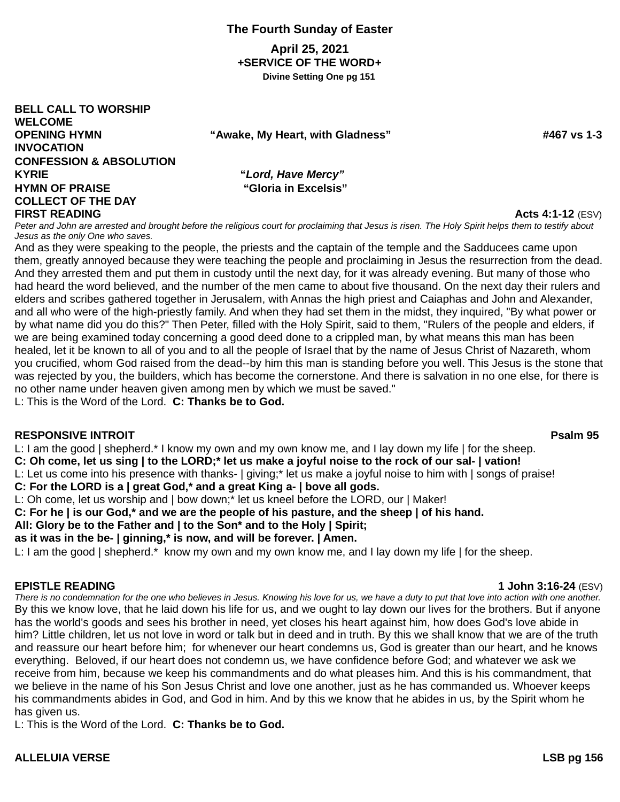### **The Fourth Sunday of Easter**

**April 25, 2021** *+***SERVICE OF THE WORD***+* **Divine Setting One pg 151**

**BELL CALL TO WORSHIP WELCOME OPENING HYMN "Awake, My Heart, with Gladness" #467 vs 1-3 INVOCATION CONFESSION & ABSOLUTION KYRIE "***Lord, Have Mercy"* **HYMN OF PRAISE "Gloria in Excelsis" COLLECT OF THE DAY FIRST READING Acts 4:1-12** (ESV)

Peter and John are arrested and brought before the religious court for proclaiming that Jesus is risen. The Holy Spirit helps them to testify about *Jesus as the only One who saves.* And as they were speaking to the people, the priests and the captain of the temple and the Sadducees came upon

them, greatly annoyed because they were teaching the people and proclaiming in Jesus the resurrection from the dead. And they arrested them and put them in custody until the next day, for it was already evening. But many of those who had heard the word believed, and the number of the men came to about five thousand. On the next day their rulers and elders and scribes gathered together in Jerusalem, with Annas the high priest and Caiaphas and John and Alexander, and all who were of the high-priestly family. And when they had set them in the midst, they inquired, "By what power or by what name did you do this?" Then Peter, filled with the Holy Spirit, said to them, "Rulers of the people and elders, if we are being examined today concerning a good deed done to a crippled man, by what means this man has been healed, let it be known to all of you and to all the people of Israel that by the name of Jesus Christ of Nazareth, whom you crucified, whom God raised from the dead--by him this man is standing before you well. This Jesus is the stone that was rejected by you, the builders, which has become the cornerstone. And there is salvation in no one else, for there is no other name under heaven given among men by which we must be saved."

L: This is the Word of the Lord. **C: Thanks be to God.**

#### **RESPONSIVE INTROIT Psalm 95**

L: I am the good | shepherd.\* I know my own and my own know me, and I lay down my life | for the sheep. **C: Oh come, let us sing | to the LORD;\* let us make a joyful noise to the rock of our sal- | vation!** L: Let us come into his presence with thanks- | giving;\* let us make a joyful noise to him with | songs of praise!

**C: For the LORD is a | great God,\* and a great King a- | bove all gods.**

L: Oh come, let us worship and | bow down;\* let us kneel before the LORD, our | Maker!

**C: For he | is our God,\* and we are the people of his pasture, and the sheep | of his hand.**

**All: Glory be to the Father and | to the Son\* and to the Holy | Spirit;**

**as it was in the be- | ginning,\* is now, and will be forever. | Amen.**

L: I am the good | shepherd.\* know my own and my own know me, and I lay down my life | for the sheep.

**EPISTLE READING 1 John 3:16-24** (ESV)

*There is no condemnation for the one who believes in Jesus. Knowing his love for us, we have a duty to put that love into action with one another.* By this we know love, that he laid down his life for us, and we ought to lay down our lives for the brothers. But if anyone has the world's goods and sees his brother in need, yet closes his heart against him, how does God's love abide in him? Little children, let us not love in word or talk but in deed and in truth. By this we shall know that we are of the truth and reassure our heart before him; for whenever our heart condemns us, God is greater than our heart, and he knows everything. Beloved, if our heart does not condemn us, we have confidence before God; and whatever we ask we receive from him, because we keep his commandments and do what pleases him. And this is his commandment, that we believe in the name of his Son Jesus Christ and love one another, just as he has commanded us. Whoever keeps his commandments abides in God, and God in him. And by this we know that he abides in us, by the Spirit whom he has given us.

L: This is the Word of the Lord. **C: Thanks be to God.**

#### **ALLELUIA VERSE LSB pg 156**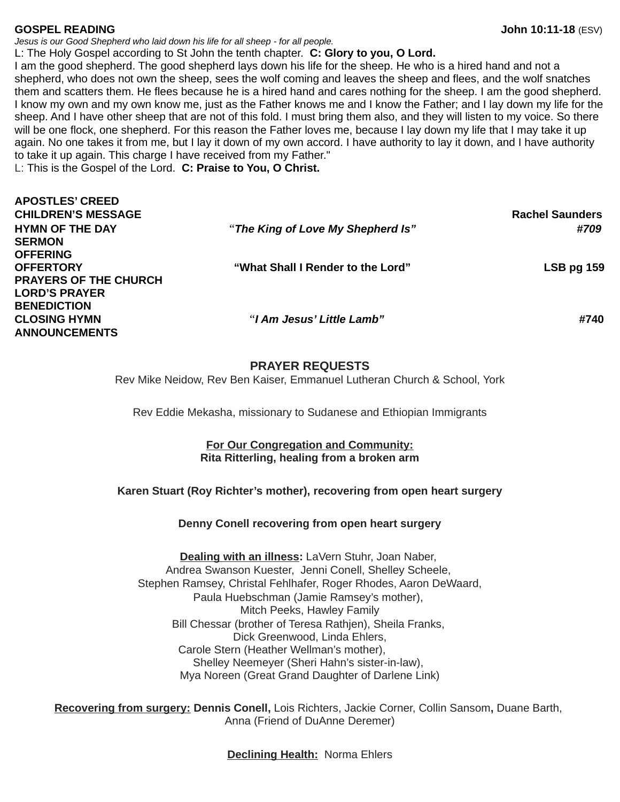*Jesus is our Good Shepherd who laid down his life for all sheep - for all people.* L: The Holy Gospel according to St John the tenth chapter. **C: Glory to you, O Lord.**

I am the good shepherd. The good shepherd lays down his life for the sheep. He who is a hired hand and not a shepherd, who does not own the sheep, sees the wolf coming and leaves the sheep and flees, and the wolf snatches them and scatters them. He flees because he is a hired hand and cares nothing for the sheep. I am the good shepherd. I know my own and my own know me, just as the Father knows me and I know the Father; and I lay down my life for the sheep. And I have other sheep that are not of this fold. I must bring them also, and they will listen to my voice. So there will be one flock, one shepherd. For this reason the Father loves me, because I lay down my life that I may take it up again. No one takes it from me, but I lay it down of my own accord. I have authority to lay it down, and I have authority to take it up again. This charge I have received from my Father."

L: This is the Gospel of the Lord. **C: Praise to You, O Christ.**

| <b>APOSTLES' CREED</b>       |                                   |                        |
|------------------------------|-----------------------------------|------------------------|
| <b>CHILDREN'S MESSAGE</b>    |                                   | <b>Rachel Saunders</b> |
| <b>HYMN OF THE DAY</b>       | "The King of Love My Shepherd Is" | #709                   |
| <b>SERMON</b>                |                                   |                        |
| <b>OFFERING</b>              |                                   |                        |
| <b>OFFERTORY</b>             | "What Shall I Render to the Lord" | <b>LSB pg 159</b>      |
| <b>PRAYERS OF THE CHURCH</b> |                                   |                        |
| <b>LORD'S PRAYER</b>         |                                   |                        |
| <b>BENEDICTION</b>           |                                   |                        |
| <b>CLOSING HYMN</b>          | "I Am Jesus' Little Lamb"         | #740                   |
| <b>ANNOUNCEMENTS</b>         |                                   |                        |
|                              |                                   |                        |
|                              |                                   |                        |

#### **PRAYER REQUESTS**

Rev Mike Neidow, Rev Ben Kaiser, Emmanuel Lutheran Church & School, York

Rev Eddie Mekasha, missionary to Sudanese and Ethiopian Immigrants

#### **For Our Congregation and Community: Rita Ritterling, healing from a broken arm**

#### **Karen Stuart (Roy Richter's mother), recovering from open heart surgery**

#### **Denny Conell recovering from open heart surgery**

**Dealing with an illness:** LaVern Stuhr, Joan Naber, Andrea Swanson Kuester, Jenni Conell, Shelley Scheele, Stephen Ramsey, Christal Fehlhafer, Roger Rhodes, Aaron DeWaard, Paula Huebschman (Jamie Ramsey's mother), Mitch Peeks, Hawley Family Bill Chessar (brother of Teresa Rathjen), Sheila Franks, Dick Greenwood, Linda Ehlers, Carole Stern (Heather Wellman's mother), Shelley Neemeyer (Sheri Hahn's sister-in-law), Mya Noreen (Great Grand Daughter of Darlene Link)

**Recovering from surgery: Dennis Conell,** Lois Richters, Jackie Corner, Collin Sansom**,** Duane Barth, Anna (Friend of DuAnne Deremer)

**Declining Health:** Norma Ehlers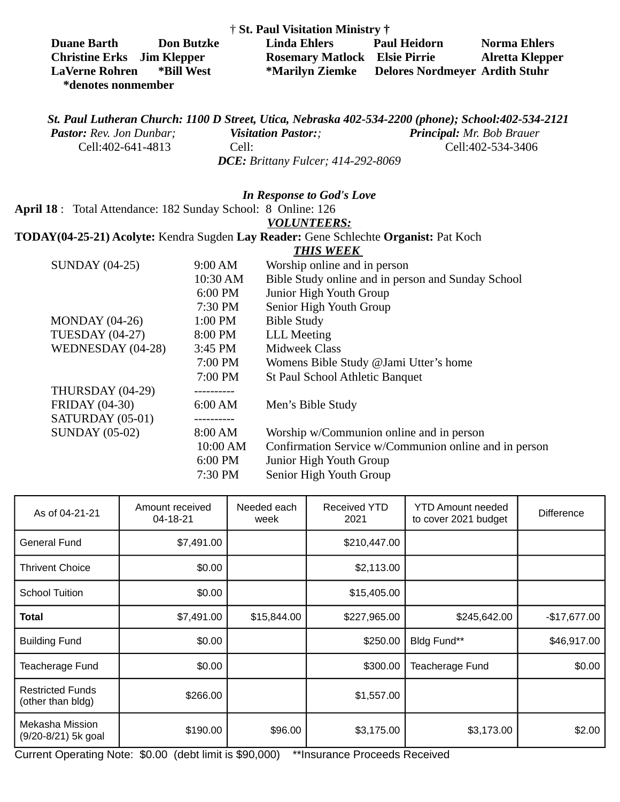| † St. Paul Visitation Ministry †  |                   |                                      |                                                |                 |  |  |  |
|-----------------------------------|-------------------|--------------------------------------|------------------------------------------------|-----------------|--|--|--|
| <b>Duane Barth</b>                | <b>Don Butzke</b> | Linda Ehlers                         | <b>Paul Heidorn</b>                            | Norma Ehlers    |  |  |  |
| <b>Christine Erks</b> Jim Klepper |                   | <b>Rosemary Matlock Elsie Pirrie</b> |                                                | Alretta Klepper |  |  |  |
| <b>LaVerne Rohren</b>             | *Bill West        |                                      | *Marilyn Ziemke Delores Nordmeyer Ardith Stuhr |                 |  |  |  |
| *denotes nonmember                |                   |                                      |                                                |                 |  |  |  |

*St. Paul Lutheran Church: 1100 D Street, Utica, Nebraska 402-534-2200 (phone); School:402-534-2121 Pastor: Rev. Jon Dunbar; Visitation Pastor:; Principal: Mr. Bob Brauer* Cell:402-641-4813 Cell: Cell:402-534-3406 *DCE: Brittany Fulcer; 414-292-8069*

#### *In Response to God's Love*

**April 18** : Total Attendance: 182 Sunday School: 8 Online: 126

#### *VOLUNTEERS:*

# **TODAY(04-25-21) Acolyte:** Kendra Sugden **Lay Reader:** Gene Schlechte **Organist:** Pat Koch

# *THIS WEEK*

| <b>SUNDAY (04-25)</b>  | 9:00 AM   | Worship online and in person                          |
|------------------------|-----------|-------------------------------------------------------|
|                        | 10:30 AM  | Bible Study online and in person and Sunday School    |
|                        | 6:00 PM   | Junior High Youth Group                               |
|                        | 7:30 PM   | Senior High Youth Group                               |
| $MONDAY (04-26)$       | 1:00 PM   | <b>Bible Study</b>                                    |
| <b>TUESDAY (04-27)</b> | 8:00 PM   | <b>LLL Meeting</b>                                    |
| WEDNESDAY (04-28)      | 3:45 PM   | Midweek Class                                         |
|                        | 7:00 PM   | Womens Bible Study @Jami Utter's home                 |
|                        | 7:00 PM   | <b>St Paul School Athletic Banquet</b>                |
| THURSDAY (04-29)       |           |                                                       |
| <b>FRIDAY (04-30)</b>  | 6:00 AM   | Men's Bible Study                                     |
| SATURDAY (05-01)       | --------- |                                                       |
| <b>SUNDAY (05-02)</b>  | 8:00 AM   | Worship w/Communion online and in person              |
|                        | 10:00 AM  | Confirmation Service w/Communion online and in person |
|                        | 6:00 PM   | Junior High Youth Group                               |
|                        | 7:30 PM   | Senior High Youth Group                               |
|                        |           |                                                       |

| As of 04-21-21                               | Amount received<br>04-18-21 | Needed each<br>week | <b>Received YTD</b><br>2021 | <b>YTD Amount needed</b><br>to cover 2021 budget | <b>Difference</b> |
|----------------------------------------------|-----------------------------|---------------------|-----------------------------|--------------------------------------------------|-------------------|
| <b>General Fund</b>                          | \$7,491.00                  |                     | \$210,447.00                |                                                  |                   |
| <b>Thrivent Choice</b>                       | \$0.00                      |                     | \$2,113.00                  |                                                  |                   |
| <b>School Tuition</b>                        | \$0.00                      |                     | \$15,405.00                 |                                                  |                   |
| <b>Total</b>                                 | \$7,491.00                  | \$15,844.00         | \$227,965.00                | \$245,642.00                                     | $-$17,677.00$     |
| <b>Building Fund</b>                         | \$0.00                      |                     | \$250.00                    | Bldg Fund**                                      | \$46,917.00       |
| Teacherage Fund                              | \$0.00                      |                     | \$300.00                    | Teacherage Fund                                  | \$0.00            |
| <b>Restricted Funds</b><br>(other than bldg) | \$266.00                    |                     | \$1,557.00                  |                                                  |                   |
| Mekasha Mission<br>(9/20-8/21) 5k goal       | \$190.00                    | \$96.00             | \$3,175.00                  | \$3,173.00                                       | \$2.00            |

Current Operating Note: \$0.00 (debt limit is \$90,000) \*\*Insurance Proceeds Received